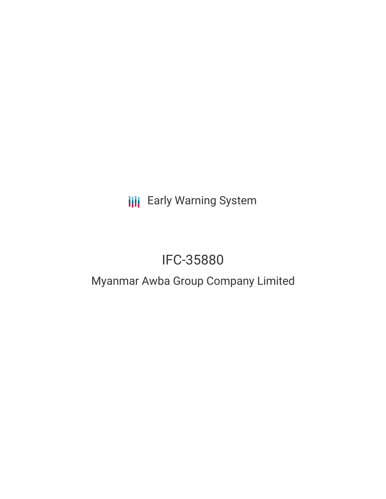**III** Early Warning System

# IFC-35880

## Myanmar Awba Group Company Limited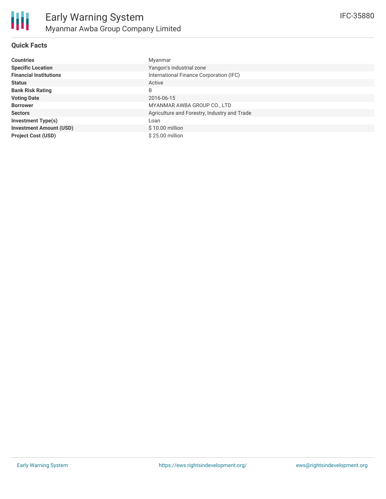

#### **Quick Facts**

| <b>Countries</b>               | Myanmar                                      |
|--------------------------------|----------------------------------------------|
| <b>Specific Location</b>       | Yangon's industrial zone                     |
| <b>Financial Institutions</b>  | International Finance Corporation (IFC)      |
| <b>Status</b>                  | Active                                       |
| <b>Bank Risk Rating</b>        | B                                            |
| <b>Voting Date</b>             | 2016-06-15                                   |
| <b>Borrower</b>                | MYANMAR AWBA GROUP CO., LTD                  |
| <b>Sectors</b>                 | Agriculture and Forestry, Industry and Trade |
| <b>Investment Type(s)</b>      | Loan                                         |
| <b>Investment Amount (USD)</b> | $$10.00$ million                             |
| <b>Project Cost (USD)</b>      | \$25.00 million                              |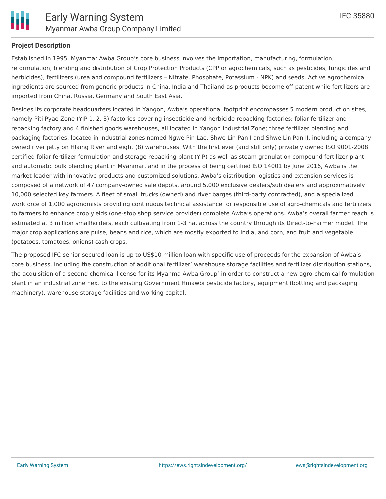

#### **Project Description**

Established in 1995, Myanmar Awba Group's core business involves the importation, manufacturing, formulation, reformulation, blending and distribution of Crop Protection Products (CPP or agrochemicals, such as pesticides, fungicides and herbicides), fertilizers (urea and compound fertilizers – Nitrate, Phosphate, Potassium - NPK) and seeds. Active agrochemical ingredients are sourced from generic products in China, India and Thailand as products become off-patent while fertilizers are imported from China, Russia, Germany and South East Asia.

Besides its corporate headquarters located in Yangon, Awba's operational footprint encompasses 5 modern production sites, namely Piti Pyae Zone (YIP 1, 2, 3) factories covering insecticide and herbicide repacking factories; foliar fertilizer and repacking factory and 4 finished goods warehouses, all located in Yangon Industrial Zone; three fertilizer blending and packaging factories, located in industrial zones named Ngwe Pin Lae, Shwe Lin Pan I and Shwe Lin Pan II, including a companyowned river jetty on Hlaing River and eight (8) warehouses. With the first ever (and still only) privately owned ISO 9001-2008 certified foliar fertilizer formulation and storage repacking plant (YIP) as well as steam granulation compound fertilizer plant and automatic bulk blending plant in Myanmar, and in the process of being certified ISO 14001 by June 2016, Awba is the market leader with innovative products and customized solutions. Awba's distribution logistics and extension services is composed of a network of 47 company-owned sale depots, around 5,000 exclusive dealers/sub dealers and approximatively 10,000 selected key farmers. A fleet of small trucks (owned) and river barges (third-party contracted), and a specialized workforce of 1,000 agronomists providing continuous technical assistance for responsible use of agro-chemicals and fertilizers to farmers to enhance crop yields (one-stop shop service provider) complete Awba's operations. Awba's overall farmer reach is estimated at 3 million smallholders, each cultivating from 1-3 ha, across the country through its Direct-to-Farmer model. The major crop applications are pulse, beans and rice, which are mostly exported to India, and corn, and fruit and vegetable (potatoes, tomatoes, onions) cash crops.

The proposed IFC senior secured loan is up to US\$10 million loan with specific use of proceeds for the expansion of Awba's core business, including the construction of additional fertilizer' warehouse storage facilities and fertilizer distribution stations, the acquisition of a second chemical license for its Myanma Awba Group' in order to construct a new agro-chemical formulation plant in an industrial zone next to the existing Government Hmawbi pesticide factory, equipment (bottling and packaging machinery), warehouse storage facilities and working capital.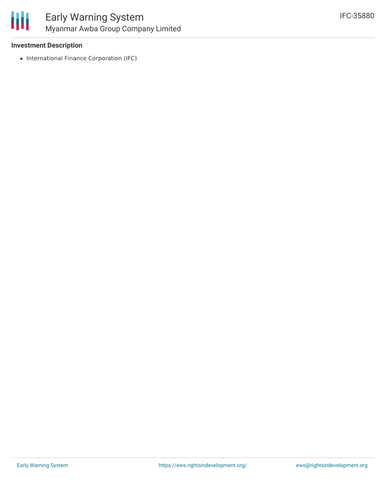

#### **Investment Description**

• International Finance Corporation (IFC)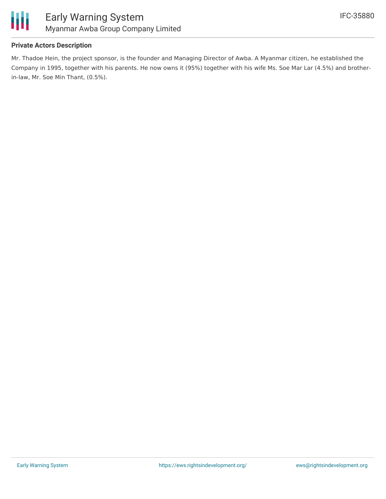

#### **Private Actors Description**

Mr. Thadoe Hein, the project sponsor, is the founder and Managing Director of Awba. A Myanmar citizen, he established the Company in 1995, together with his parents. He now owns it (95%) together with his wife Ms. Soe Mar Lar (4.5%) and brotherin-law, Mr. Soe Min Thant, (0.5%).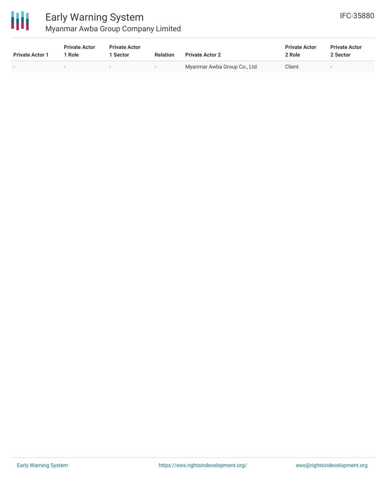

### Early Warning System Myanmar Awba Group Company Limited

| <b>Private Actor 1</b> | <b>Private Actor</b><br>1 Role | <b>Private Actor</b><br><b>Sector</b> | <b>Relation</b>          | <b>Private Actor 2</b>       | <b>Private Actor</b><br>2 Role | <b>Private Actor</b><br>2 Sector |  |
|------------------------|--------------------------------|---------------------------------------|--------------------------|------------------------------|--------------------------------|----------------------------------|--|
|                        | $\sim$                         | $\overline{\phantom{0}}$              | $\overline{\phantom{0}}$ | Myanmar Awba Group Co., Ltd. | Client                         | $\overline{\phantom{0}}$         |  |